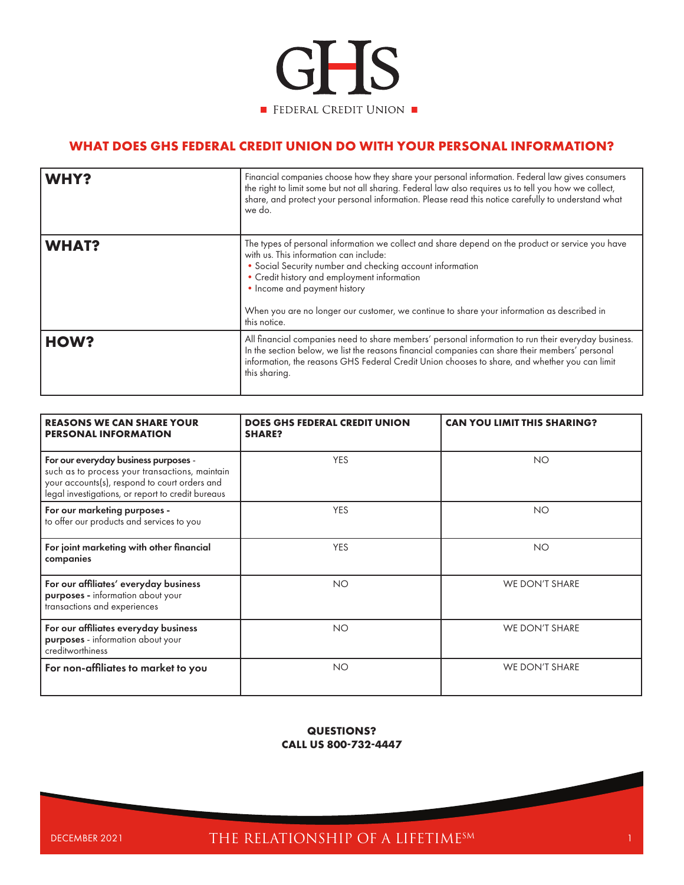

## **WHAT DOES GHS FEDERAL CREDIT UNION DO WITH YOUR PERSONAL INFORMATION?**

| <b>WHY?</b>  | Financial companies choose how they share your personal information. Federal law gives consumers<br>the right to limit some but not all sharing. Federal law also requires us to tell you how we collect,<br>share, and protect your personal information. Please read this notice carefully to understand what<br>we do.                                                                            |
|--------------|------------------------------------------------------------------------------------------------------------------------------------------------------------------------------------------------------------------------------------------------------------------------------------------------------------------------------------------------------------------------------------------------------|
| <b>WHAT?</b> | The types of personal information we collect and share depend on the product or service you have<br>with us. This information can include:<br>• Social Security number and checking account information<br>• Credit history and employment information<br>• Income and payment history<br>When you are no longer our customer, we continue to share your information as described in<br>this notice. |
| HOW?         | All financial companies need to share members' personal information to run their everyday business.<br>In the section below, we list the reasons financial companies can share their members' personal<br>information, the reasons GHS Federal Credit Union chooses to share, and whether you can limit<br>this sharing.                                                                             |

| <b>REASONS WE CAN SHARE YOUR</b><br><b>PERSONAL INFORMATION</b>                                                                                                                              | <b>DOES GHS FEDERAL CREDIT UNION</b><br><b>SHARE?</b> | <b>CAN YOU LIMIT THIS SHARING?</b> |
|----------------------------------------------------------------------------------------------------------------------------------------------------------------------------------------------|-------------------------------------------------------|------------------------------------|
| For our everyday business purposes -<br>such as to process your transactions, maintain<br>your accounts(s), respond to court orders and<br>legal investigations, or report to credit bureaus | <b>YES</b>                                            | <b>NO</b>                          |
| For our marketing purposes -<br>to offer our products and services to you                                                                                                                    | <b>YES</b>                                            | <b>NO</b>                          |
| For joint marketing with other financial<br>companies                                                                                                                                        | <b>YES</b>                                            | <b>NO</b>                          |
| For our affiliates' everyday business<br>purposes - information about your<br>transactions and experiences                                                                                   | <b>NO</b>                                             | WE DON'T SHARE                     |
| For our affiliates everyday business<br>purposes - information about your<br>creditworthiness                                                                                                | <b>NO</b>                                             | WE DON'T SHARE                     |
| For non-affiliates to market to you                                                                                                                                                          | <b>NO</b>                                             | WE DON'T SHARE                     |

## **QUESTIONS? CALL US 800-732-4447**

DECEMBER 2021 THE RELATIONSHIP OF A LIFETIME<sup>SM</sup>